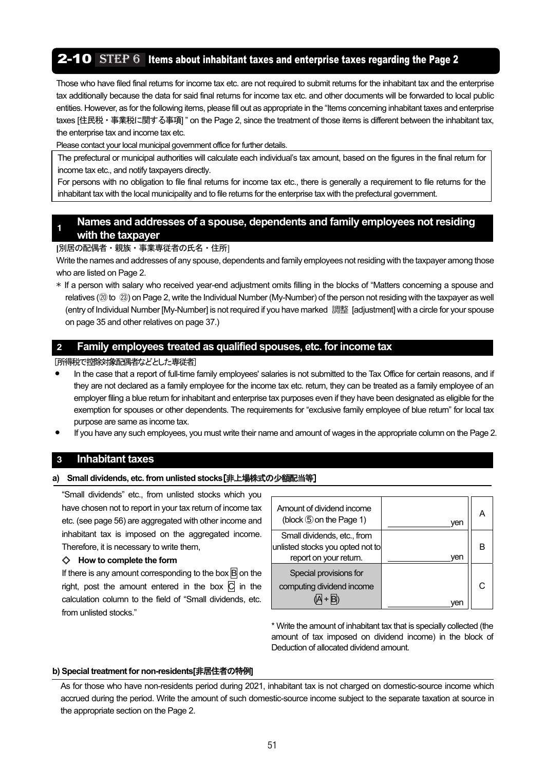# **2-10** STEP  $6$  Items about inhabitant taxes and enterprise taxes regarding the Page 2

Those who have filed final returns for income tax etc. are not required to submit returns for the inhabitant tax and the enterprise tax additionally because the data for said final returns for income tax etc. and other documents will be forwarded to local public entities. However, as for the following items, please fill out as appropriate in the "Items concerning inhabitant taxes and enterprise taxes [住民税・事業税に関する事項] " on the Page 2, since the treatment of those items is different between the inhabitant tax, the enterprise tax and income tax etc.

Please contact your local municipal government office for further details.

The prefectural or municipal authorities will calculate each individual's tax amount, based on the figures in the final return for income tax etc., and notify taxpayers directly.

For persons with no obligation to file final returns for income tax etc., there is generally a requirement to file returns for the inhabitant tax with the local municipality and to file returns for the enterprise tax with the prefectural government.

## **<sup>1</sup>Names and addresses of a spouse, dependents and family employees not residing with the taxpayer**

 **[**別居の配偶者・親族・事業専従者の氏名・住所]

Write the names and addresses of any spouse, dependents and family employees not residing with the taxpayer among those who are listed on Page 2.

\* If a person with salary who received year-end adjustment omits filling in the blocks of "Matters concerning a spouse and relatives (@ to @) on Page 2, write the Individual Number (My-Number) of the person not residing with the taxpayer as well (entry of Individual Number [My-Number] is not required if you have marked 調整 [adjustment] with a circle for your spouse on page 35 and other relatives on page 37.)

## **2 Family employees treated as qualified spouses, etc. for income tax**

[所得税で控除対象配偶者などとした専従者]

- **•** In the case that a report of full-time family employees' salaries is not submitted to the Tax Office for certain reasons, and if they are not declared as a family employee for the income tax etc. return, they can be treated as a family employee of an employer filing a blue return for inhabitant and enterprise tax purposes even if they have been designated as eligible for the exemption for spouses or other dependents. The requirements for "exclusive family employee of blue return" for local tax purpose are same as income tax.
- **•** If you have any such employees, you must write their name and amount of wages in the appropriate column on the Page 2.

## **3 Inhabitant taxes**

#### **a) Small dividends, etc. from unlisted stocks**[非上場株式の少額配当等]

"Small dividends" etc., from unlisted stocks which you have chosen not to report in your tax return of income tax etc. (see page 56) are aggregated with other income and inhabitant tax is imposed on the aggregated income. Therefore, it is necessary to write them,

#### ◇ **How to complete the form**

If there is any amount corresponding to the box  $\overline{B}$  on the right, post the amount entered in the box  $\overline{C}$  in the calculation column to the field of "Small dividends, etc. from unlisted stocks."

| Amount of dividend income<br>(block $\circled{5}$ on the Page 1)                          | ven |  |
|-------------------------------------------------------------------------------------------|-----|--|
| Small dividends, etc., from<br>unlisted stocks you opted not to<br>report on your return. | ven |  |
| Special provisions for<br>computing dividend income                                       |     |  |

\* Write the amount of inhabitant tax that is specially collected (the amount of tax imposed on dividend income) in the block of Deduction of allocated dividend amount.

#### **b) Special treatment for non-residents[**非居住者の特例**]**

As for those who have non-residents period during 2021, inhabitant tax is not charged on domestic-source income which accrued during the period. Write the amount of such domestic-source income subject to the separate taxation at source in the appropriate section on the Page 2.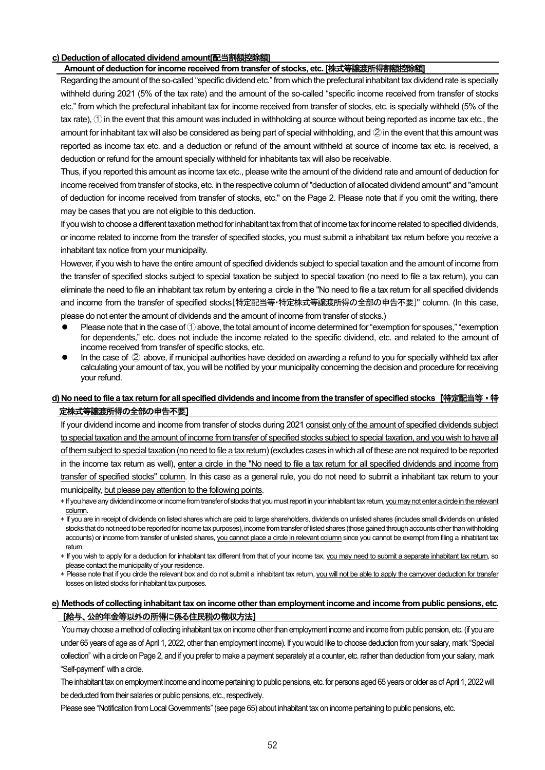#### **c) Deduction of allocated dividend amount[**配当割額控除額**]**

#### **Amount of deduction for income received from transfer of stocks, etc. [**株式等譲渡所得割額控除額**]**

Regarding the amount of the so-called "specific dividend etc." from which the prefectural inhabitant tax dividend rate is specially withheld during 2021 (5% of the tax rate) and the amount of the so-called "specific income received from transfer of stocks etc." from which the prefectural inhabitant tax for income received from transfer of stocks, etc. is specially withheld (5% of the tax rate), ① in the event that this amount was included in withholding at source without being reported as income tax etc., the amount for inhabitant tax will also be considered as being part of special withholding, and  $\oslash$  in the event that this amount was reported as income tax etc. and a deduction or refund of the amount withheld at source of income tax etc. is received, a deduction or refund for the amount specially withheld for inhabitants tax will also be receivable.

Thus, if you reported this amount as income tax etc., please write the amount of the dividend rate and amount of deduction for income received from transfer of stocks, etc. in the respective column of "deduction of allocated dividend amount" and "amount of deduction for income received from transfer of stocks, etc." on the Page 2. Please note that if you omit the writing, there may be cases that you are not eligible to this deduction.

If you wish to choose a different taxation method for inhabitant tax from that of income tax for income related to specified dividends, or income related to income from the transfer of specified stocks, you must submit a inhabitant tax return before you receive a inhabitant tax notice from your municipality.

However, if you wish to have the entire amount of specified dividends subject to special taxation and the amount of income from the transfer of specified stocks subject to special taxation be subject to special taxation (no need to file a tax return), you can eliminate the need to file an inhabitant tax return by entering a circle in the "No need to file a tax return for all specified dividends and income from the transfer of specified stocks[特定配当等・特定株式等譲渡所得の全部の申告不要]" column. (In this case, please do not enter the amount of dividends and the amount of income from transfer of stocks.)

- Please note that in the case of  $\bigcirc$  above, the total amount of income determined for "exemption for spouses," "exemption for dependents," etc. does not include the income related to the specific dividend, etc. and related to the amount of income received from transfer of specific stocks, etc.
- In the case of ② above, if municipal authorities have decided on awarding a refund to you for specially withheld tax after calculating your amount of tax, you will be notified by your municipality concerning the decision and procedure for receiving your refund.

## **d) No need to file a tax return for all specified dividends and income from the transfer of specified stocks**[特定配当等・特 定株式等譲渡所得の全部の申告不要]

If your dividend income and income from transfer of stocks during 2021 consist only of the amount of specified dividends subject to special taxation and the amount of income from transfer of specified stocks subject to special taxation, and you wish to have all of them subject to special taxation (no need to file a tax return) (excludes cases in which all of these are not required to be reported in the income tax return as well), enter a circle in the "No need to file a tax return for all specified dividends and income from transfer of specified stocks" column. In this case as a general rule, you do not need to submit a inhabitant tax return to your municipality, but please pay attention to the following points.

- \* If you have any dividend income or income from transfer of stocks that you must report in your inhabitant tax return, you may not enter a circle in the relevant column.
- \* If you are in receipt of dividends on listed shares which are paid to large shareholders, dividends on unlisted shares (includes small dividends on unlisted stocks that do not need to be reported for income tax purposes), income from transfer of listed shares (those gained through accounts other than withholding accounts) or income from transfer of unlisted shares, you cannot place a circle in relevant column since you cannot be exempt from filing a inhabitant tax return.
- \* If you wish to apply for a deduction for inhabitant tax different from that of your income tax, you may need to submit a separate inhabitant tax return, so please contact the municipality of your residence.
- \* Please note that if you circle the relevant box and do not submit a inhabitant tax return, you will not be able to apply the carryover deduction for transfer losses on listed stocks for inhabitant tax purposes.

#### **e) Methods of collecting inhabitant tax on income other than employment income and income from public pensions, etc.**  [給与、公的年金等以外の所得に係る住民税の徴収方法]

You may choose a method of collecting inhabitant tax on income other than employment income and income from public pension, etc. (if you are under 65 years of age as of April 1, 2022, other than employment income). If you would like to choose deduction from your salary, mark "Special collection" with a circle on Page 2, and if you prefer to make a payment separately at a counter, etc. rather than deduction from your salary, mark "Self-payment" with a circle.

The inhabitant tax on employment income and income pertaining to public pensions, etc. for persons aged 65 years or older as of April 1, 2022 will be deducted from their salaries or public pensions, etc., respectively.

Please see "Notification from Local Governments" (see page 65) about inhabitant tax on income pertaining to public pensions, etc.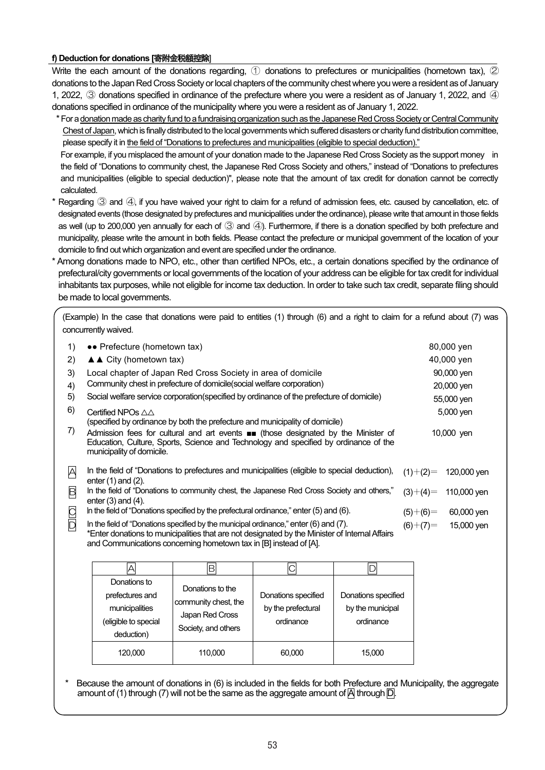### **f) Deduction for donations [**寄附金税額控除]

Write the each amount of the donations regarding, 1 donations to prefectures or municipalities (hometown tax), 2 donations to the Japan Red Cross Society or local chapters of the community chest where you were a resident as of January 1, 2022, ③ donations specified in ordinance of the prefecture where you were a resident as of January 1, 2022, and ④ donations specified in ordinance of the municipality where you were a resident as of January 1, 2022.

\* For a donation made as charity fund to a fundraising organization such as the Japanese Red Cross Society or Central Community Chest of Japan, which is finally distributed to the local governments which suffered disasters or charity fund distribution committee, please specify it in the field of "Donations to prefectures and municipalities (eligible to special deduction)."

For example, if you misplaced the amount of your donation made to the Japanese Red Cross Society as the support money in the field of "Donations to community chest, the Japanese Red Cross Society and others," instead of "Donations to prefectures and municipalities (eligible to special deduction)", please note that the amount of tax credit for donation cannot be correctly calculated.

- \* Regarding ③ and ④, if you have waived your right to claim for a refund of admission fees, etc. caused by cancellation, etc. of designated events (those designated by prefectures and municipalities under the ordinance), please write that amount in those fields as well (up to 200,000 yen annually for each of ③ and ④). Furthermore, if there is a donation specified by both prefecture and municipality, please write the amount in both fields. Please contact the prefecture or municipal government of the location of your domicile to find out which organization and event are specified under the ordinance.
- \* Among donations made to NPO, etc., other than certified NPOs, etc., a certain donations specified by the ordinance of prefectural/city governments or local governments of the location of your address can be eligible for tax credit for individual inhabitants tax purposes, while not eligible for income tax deduction. In order to take such tax credit, separate filing should be made to local governments.

(Example) In the case that donations were paid to entities (1) through (6) and a right to claim for a refund about (7) was concurrently waived.

| 1)             | •• Prefecture (hometown tax)                                                                                                                                                                                                                                     |            | 80,000 yen  |
|----------------|------------------------------------------------------------------------------------------------------------------------------------------------------------------------------------------------------------------------------------------------------------------|------------|-------------|
| 2)             | $\triangle$ $\triangle$ City (hometown tax)                                                                                                                                                                                                                      |            | 40,000 yen  |
| 3)             | Local chapter of Japan Red Cross Society in area of domicile                                                                                                                                                                                                     |            | 90,000 yen  |
| 4)             | Community chest in prefecture of domicile (social welfare corporation)                                                                                                                                                                                           |            | 20,000 yen  |
| 5)             | Social welfare service corporation (specified by ordinance of the prefecture of domicile)                                                                                                                                                                        |            | 55,000 yen  |
| 6)             | Certified NPOs $\triangle\triangle$<br>(specified by ordinance by both the prefecture and municipality of domicile)                                                                                                                                              |            | 5,000 yen   |
| 7)             | Admission fees for cultural and art events $\blacksquare$ (those designated by the Minister of<br>Education, Culture, Sports, Science and Technology and specified by ordinance of the<br>municipality of domicile.                                              |            | 10,000 yen  |
| Α              | In the field of "Donations to prefectures and municipalities (eligible to special deduction),<br>enter $(1)$ and $(2)$ .                                                                                                                                         | $(1)+(2)=$ | 120,000 yen |
| B              | In the field of "Donations to community chest, the Japanese Red Cross Society and others,"<br>enter $(3)$ and $(4)$ .                                                                                                                                            | $(3)+(4)=$ | 110,000 yen |
| $\overline{C}$ | In the field of "Donations specified by the prefectural ordinance," enter $(5)$ and $(6)$ .                                                                                                                                                                      | $(5)+(6)=$ | 60,000 yen  |
|                | In the field of "Donations specified by the municipal ordinance," enter $(6)$ and $(7)$ .<br>*Enter donations to municipalities that are not designated by the Minister of Internal Affairs<br>and Communications concerning hometown tax in [B] instead of [A]. | $(6)+(7)=$ | 15,000 yen  |
|                | Ē                                                                                                                                                                                                                                                                |            |             |

| Donations to<br>prefectures and<br>municipalities<br>(eligible to special<br>deduction) | Donations to the<br>community chest, the<br>Japan Red Cross<br>Society, and others | Donations specified<br>by the prefectural<br>ordinance | Donations specified<br>by the municipal<br>ordinance |
|-----------------------------------------------------------------------------------------|------------------------------------------------------------------------------------|--------------------------------------------------------|------------------------------------------------------|
| 120,000                                                                                 | 110,000                                                                            | 60,000                                                 | 15,000                                               |

Because the amount of donations in (6) is included in the fields for both Prefecture and Municipality, the aggregate amount of (1) through (7) will not be the same as the aggregate amount of  $|A|$  through  $|D|$ .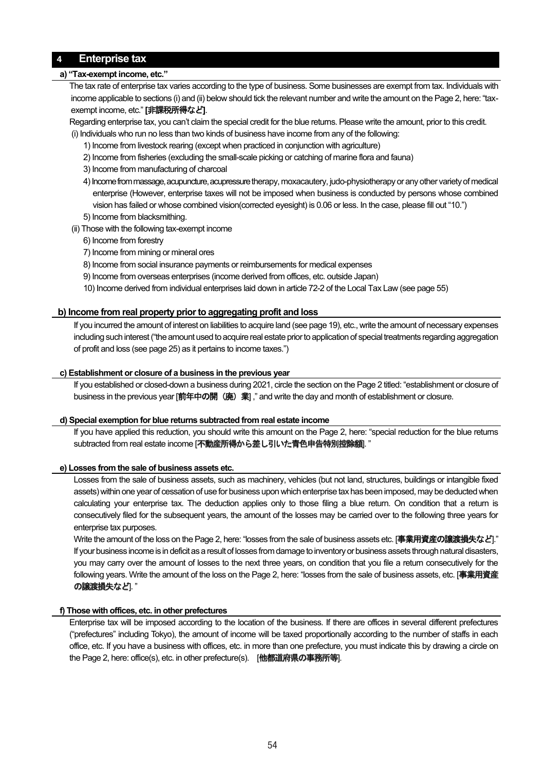## **4 Enterprise tax**

#### **a) "Tax-exempt income, etc."**

The tax rate of enterprise tax varies according to the type of business. Some businesses are exempt from tax. Individuals with income applicable to sections (i) and (ii) below should tick the relevant number and write the amount on the Page 2, here: "taxexempt income, etc." **[**非課税所得など**]**.

Regarding enterprise tax, you can't claim the special credit for the blue returns. Please write the amount, prior to this credit.

- (i) Individuals who run no less than two kinds of business have income from any of the following:
	- 1) Income from livestock rearing (except when practiced in conjunction with agriculture)
	- 2) Income from fisheries (excluding the small-scale picking or catching of marine flora and fauna)
	- 3) Income from manufacturing of charcoal
	- 4) Income from massage, acupuncture, acupressure therapy, moxacautery, judo-physiotherapy or any other variety of medical enterprise (However, enterprise taxes will not be imposed when business is conducted by persons whose combined vision has failed or whose combined vision(corrected eyesight) is 0.06 or less. In the case, please fill out "10.")
	- 5) Income from blacksmithing.
- (ii) Those with the following tax-exempt income
	- 6) Income from forestry
	- 7) Income from mining or mineral ores
	- 8) Income from social insurance payments or reimbursements for medical expenses
	- 9) Income from overseas enterprises (income derived from offices, etc. outside Japan)
	- 10) Income derived from individual enterprises laid down in article 72-2 of the Local Tax Law (see page 55)

## **b) Income from real property prior to aggregating profit and loss**

If you incurred the amount of interest on liabilities to acquire land (see page 19), etc., write the amount of necessary expenses including such interest ("the amount used to acquire real estate prior to application of special treatments regarding aggregation of profit and loss (see page 25) as it pertains to income taxes.")

### **c) Establishment or closure of a business in the previous year**

If you established or closed-down a business during 2021, circle the section on the Page 2 titled: "establishment or closure of business in the previous year [前年中の開 (廃) 業]," and write the day and month of establishment or closure.

#### **d) Special exemption for blue returns subtracted from real estate income**

If you have applied this reduction, you should write this amount on the Page 2, here: "special reduction for the blue returns subtracted from real estate income [不動産所得から差し引いた青色申告特別控除額]."

## **e) Losses from the sale of business assets etc.**

Losses from the sale of business assets, such as machinery, vehicles (but not land, structures, buildings or intangible fixed assets) within one year of cessation of use for business upon which enterprise tax has been imposed, may be deducted when calculating your enterprise tax. The deduction applies only to those filing a blue return. On condition that a return is consecutively filed for the subsequent years, the amount of the losses may be carried over to the following three years for enterprise tax purposes.

Write the amount of the loss on the Page 2, here: "losses from the sale of business assets etc. [事業用資産の譲渡損失など]." If your business income is in deficit as a result of losses from damage to inventory or business assets through natural disasters, you may carry over the amount of losses to the next three years, on condition that you file a return consecutively for the following years. Write the amount of the loss on the Page 2, here: "losses from the sale of business assets, etc. [事業用資産 の譲渡損失など)."

## **f) Those with offices, etc. in other prefectures**

Enterprise tax will be imposed according to the location of the business. If there are offices in several different prefectures ("prefectures" including Tokyo), the amount of income will be taxed proportionally according to the number of staffs in each office, etc. If you have a business with offices, etc. in more than one prefecture, you must indicate this by drawing a circle on the Page 2, here: office(s), etc. in other prefecture(s). [他都道府県の事務所等].